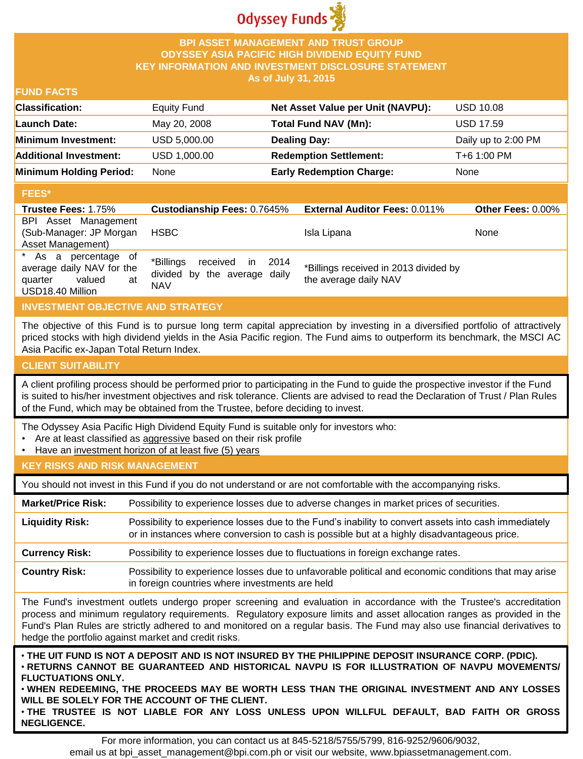

### **BPI ASSET MANAGEMENT AND TRUST GROUP ODYSSEY ASIA PACIFIC HIGH DIVIDEND EQUITY FUND KEY INFORMATION AND INVESTMENT DISCLOSURE STATEMENT As of July 31, 2015**

# **FUND FACTS**

| <b>Classification:</b>         | Equity Fund  | Net Asset Value per Unit (NAVPU): | <b>USD 10.08</b>    |
|--------------------------------|--------------|-----------------------------------|---------------------|
| Launch Date:                   | May 20, 2008 | Total Fund NAV (Mn):              | <b>USD 17.59</b>    |
| Minimum Investment:            | USD 5,000.00 | <b>Dealing Day:</b>               | Daily up to 2:00 PM |
| <b>Additional Investment:</b>  | USD 1,000.00 | <b>Redemption Settlement:</b>     | T+6 1:00 PM         |
| <b>Minimum Holding Period:</b> | None         | <b>Early Redemption Charge:</b>   | None                |

### **FEES\***

| .                                                                                                |                                                                                |                                                                |                          |
|--------------------------------------------------------------------------------------------------|--------------------------------------------------------------------------------|----------------------------------------------------------------|--------------------------|
| <b>Trustee Fees: 1.75%</b>                                                                       | <b>Custodianship Fees: 0.7645%</b>                                             | <b>External Auditor Fees: 0.011%</b>                           | <b>Other Fees: 0.00%</b> |
| BPI Asset Management<br>(Sub-Manager: JP Morgan<br>Asset Management)                             | <b>HSBC</b>                                                                    | Isla Lipana                                                    | None                     |
| * As a percentage of<br>average daily NAV for the<br>valued<br>quarter<br>at<br>USD18.40 Million | *Billings<br>received in<br>2014<br>divided by the average daily<br><b>NAV</b> | *Billings received in 2013 divided by<br>the average daily NAV |                          |

# **INVESTMENT OBJECTIVE AND STRATEGY**

The objective of this Fund is to pursue long term capital appreciation by investing in a diversified portfolio of attractively priced stocks with high dividend yields in the Asia Pacific region. The Fund aims to outperform its benchmark, the MSCI AC Asia Pacific ex-Japan Total Return Index.

### **CLIENT SUITABILITY**

A client profiling process should be performed prior to participating in the Fund to guide the prospective investor if the Fund is suited to his/her investment objectives and risk tolerance. Clients are advised to read the Declaration of Trust / Plan Rules of the Fund, which may be obtained from the Trustee, before deciding to invest.

The Odyssey Asia Pacific High Dividend Equity Fund is suitable only for investors who:

- Are at least classified as aggressive based on their risk profile
- Have an investment horizon of at least five (5) years

# **KEY RISKS AND RISK MANAGEMENT**

You should not invest in this Fund if you do not understand or are not comfortable with the accompanying risks.

**Market/Price Risk:** Possibility to experience losses due to adverse changes in market prices of securities. **Liquidity Risk:** Possibility to experience losses due to the Fund's inability to convert assets into cash immediately or in instances where conversion to cash is possible but at a highly disadvantageous price. **Currency Risk:** Possibility to experience losses due to fluctuations in foreign exchange rates.

**Country Risk:** Possibility to experience losses due to unfavorable political and economic conditions that may arise in foreign countries where investments are held

The Fund's investment outlets undergo proper screening and evaluation in accordance with the Trustee's accreditation process and minimum regulatory requirements. Regulatory exposure limits and asset allocation ranges as provided in the Fund's Plan Rules are strictly adhered to and monitored on a regular basis. The Fund may also use financial derivatives to hedge the portfolio against market and credit risks.

THE UIT FUND IS NOT A DEPOSIT AND IS NOT INSURED BY THE PHILIPPINE DEPOSIT INSURANCE CORP. (PDIC). • **RETURNS CANNOT BE GUARANTEED AND HISTORICAL NAVPU IS FOR ILLUSTRATION OF NAVPU MOVEMENTS/ FLUCTUATIONS ONLY.**

• **WHEN REDEEMING, THE PROCEEDS MAY BE WORTH LESS THAN THE ORIGINAL INVESTMENT AND ANY LOSSES WILL BE SOLELY FOR THE ACCOUNT OF THE CLIENT.**

• **THE TRUSTEE IS NOT LIABLE FOR ANY LOSS UNLESS UPON WILLFUL DEFAULT, BAD FAITH OR GROSS NEGLIGENCE.**

For more information, you can contact us at 845-5218/5755/5799, 816-9252/9606/9032, email us at bpi\_asset\_management@bpi.com.ph or visit our website, www.bpiassetmanagement.com.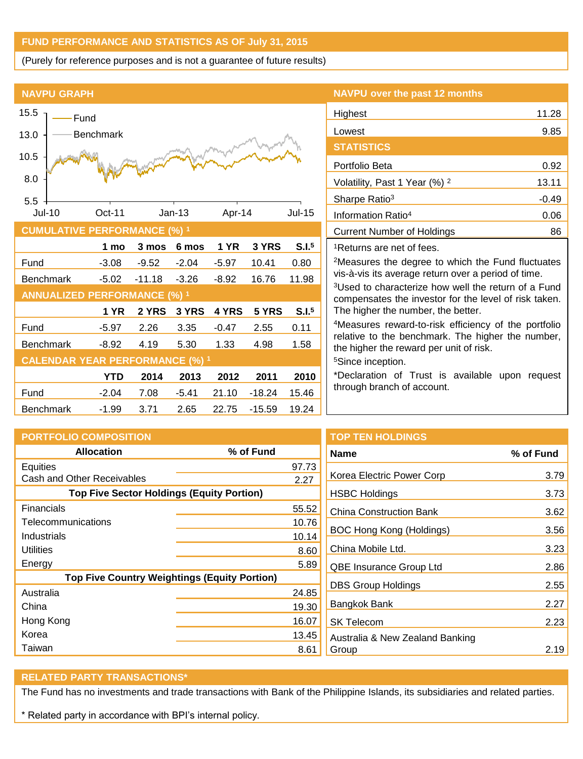# **FUND PERFORMANCE AND STATISTICS AS OF July 31, 2015**

(Purely for reference purposes and is not a guarantee of future results)

#### **NAVPU GRAPH**



# **NAVPU over the past 12 months**

| Highest                                                                                                                                                                                                                           | 11.28   |
|-----------------------------------------------------------------------------------------------------------------------------------------------------------------------------------------------------------------------------------|---------|
| Lowest                                                                                                                                                                                                                            | 9.85    |
| <b>STATISTICS</b>                                                                                                                                                                                                                 |         |
| Portfolio Beta                                                                                                                                                                                                                    | 0.92    |
| Volatility, Past 1 Year (%) <sup>2</sup>                                                                                                                                                                                          | 13.11   |
| Sharpe Ratio <sup>3</sup>                                                                                                                                                                                                         | $-0.49$ |
| Information Ratio <sup>4</sup>                                                                                                                                                                                                    | 0.06    |
| Current Number of Holdings                                                                                                                                                                                                        | 86      |
| <sup>1</sup> Returns are net of fees.                                                                                                                                                                                             |         |
| $\Omega$ , and the contract of the contract of the contract of the contract of the contract of the contract of the contract of the contract of the contract of the contract of the contract of the contract of the contract of th |         |

<sup>2</sup>Measures the degree to which the Fund fluctuates vis-à-vis its average return over a period of time.

<sup>3</sup>Used to characterize how well the return of a Fund compensates the investor for the level of risk taken. The higher the number, the better.

<sup>4</sup>Measures reward-to-risk efficiency of the portfolio relative to the benchmark. The higher the number, the higher the reward per unit of risk.

<sup>5</sup>Since inception.

\*Declaration of Trust is available upon request through branch of account.

| <b>PORTFOLIO COMPOSITION</b>                        |           | <b>TOP TEN HOLDINGS</b>         |           |
|-----------------------------------------------------|-----------|---------------------------------|-----------|
| <b>Allocation</b>                                   | % of Fund | <b>Name</b>                     | % of Fund |
| Equities                                            | 97.73     |                                 |           |
| Cash and Other Receivables                          | 2.27      | Korea Electric Power Corp       | 3.79      |
| <b>Top Five Sector Holdings (Equity Portion)</b>    |           | <b>HSBC Holdings</b>            | 3.73      |
| <b>Financials</b>                                   | 55.52     | <b>China Construction Bank</b>  | 3.62      |
| Telecommunications                                  | 10.76     |                                 |           |
| Industrials                                         | 10.14     | BOC Hong Kong (Holdings)        | 3.56      |
| <b>Utilities</b>                                    | 8.60      | China Mobile Ltd.               | 3.23      |
| Energy                                              | 5.89      | <b>QBE Insurance Group Ltd</b>  | 2.86      |
| <b>Top Five Country Weightings (Equity Portion)</b> |           |                                 |           |
| Australia                                           | 24.85     | <b>DBS Group Holdings</b>       | 2.55      |
| China                                               | 19.30     | Bangkok Bank                    | 2.27      |
| Hong Kong                                           | 16.07     | <b>SK Telecom</b>               | 2.23      |
| Korea                                               | 13.45     | Australia & New Zealand Banking |           |
| Taiwan                                              | 8.61      | Group                           | 2.19      |

#### **RELATED PARTY TRANSACTIONS\***

The Fund has no investments and trade transactions with Bank of the Philippine Islands, its subsidiaries and related parties.

\* Related party in accordance with BPI's internal policy.